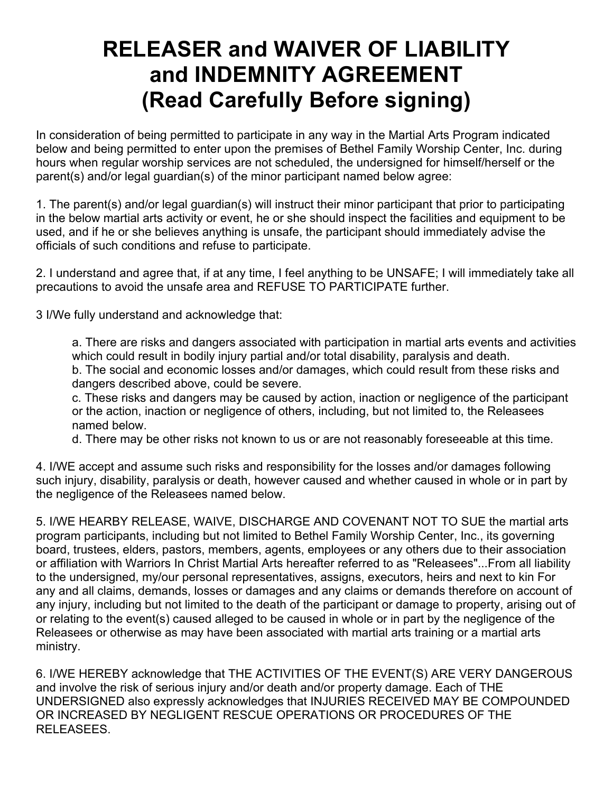## **RELEASER and WAIVER OF LIABILITY and INDEMNITY AGREEMENT (Read Carefully Before signing)**

In consideration of being permitted to participate in any way in the Martial Arts Program indicated below and being permitted to enter upon the premises of Bethel Family Worship Center, Inc. during hours when regular worship services are not scheduled, the undersigned for himself/herself or the parent(s) and/or legal guardian(s) of the minor participant named below agree:

1. The parent(s) and/or legal guardian(s) will instruct their minor participant that prior to participating in the below martial arts activity or event, he or she should inspect the facilities and equipment to be used, and if he or she believes anything is unsafe, the participant should immediately advise the officials of such conditions and refuse to participate.

2. I understand and agree that, if at any time, I feel anything to be UNSAFE; I will immediately take all precautions to avoid the unsafe area and REFUSE TO PARTICIPATE further.

3 I/We fully understand and acknowledge that:

a. There are risks and dangers associated with participation in martial arts events and activities which could result in bodily injury partial and/or total disability, paralysis and death.

b. The social and economic losses and/or damages, which could result from these risks and dangers described above, could be severe.

c. These risks and dangers may be caused by action, inaction or negligence of the participant or the action, inaction or negligence of others, including, but not limited to, the Releasees named below.

d. There may be other risks not known to us or are not reasonably foreseeable at this time.

4. I/WE accept and assume such risks and responsibility for the losses and/or damages following such injury, disability, paralysis or death, however caused and whether caused in whole or in part by the negligence of the Releasees named below.

5. I/WE HEARBY RELEASE, WAIVE, DISCHARGE AND COVENANT NOT TO SUE the martial arts program participants, including but not limited to Bethel Family Worship Center, Inc., its governing board, trustees, elders, pastors, members, agents, employees or any others due to their association or affiliation with Warriors In Christ Martial Arts hereafter referred to as "Releasees"...From all liability to the undersigned, my/our personal representatives, assigns, executors, heirs and next to kin For any and all claims, demands, losses or damages and any claims or demands therefore on account of any injury, including but not limited to the death of the participant or damage to property, arising out of or relating to the event(s) caused alleged to be caused in whole or in part by the negligence of the Releasees or otherwise as may have been associated with martial arts training or a martial arts ministry.

6. I/WE HEREBY acknowledge that THE ACTIVITIES OF THE EVENT(S) ARE VERY DANGEROUS and involve the risk of serious injury and/or death and/or property damage. Each of THE UNDERSIGNED also expressly acknowledges that INJURIES RECEIVED MAY BE COMPOUNDED OR INCREASED BY NEGLIGENT RESCUE OPERATIONS OR PROCEDURES OF THE RELEASEES.